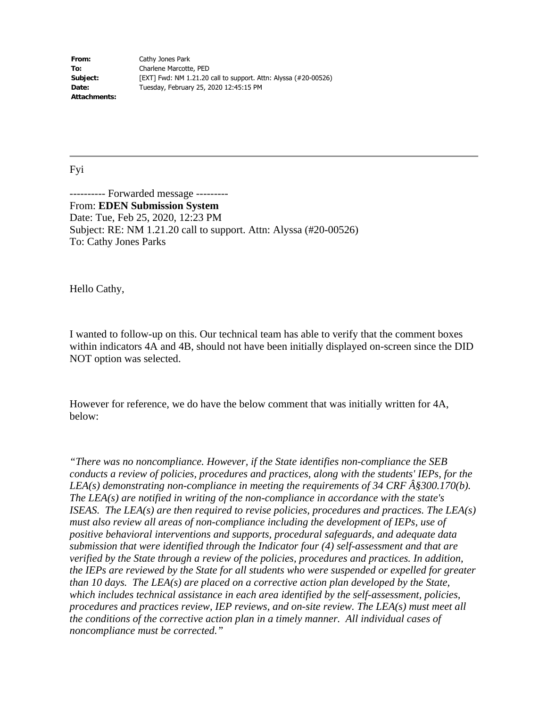**From:** Cathy Jones Park **To:** Charlene Marcotte, PED **Subject:** [EXT] Fwd: NM 1.21.20 call to support. Attn: Alyssa (#20-00526) **Date:** Tuesday, February 25, 2020 12:45:15 PM **Attachments:** 

## Fyi

---------- Forwarded message --------- From: **EDEN Submission System**  Date: Tue, Feb 25, 2020, 12:23 PM Subject: RE: NM 1.21.20 call to support. Attn: Alyssa (#20-00526) To: Cathy Jones Parks

Hello Cathy,

I wanted to follow-up on this. Our technical team has able to verify that the comment boxes within indicators 4A and 4B, should not have been initially displayed on-screen since the DID NOT option was selected.

However for reference, we do have the below comment that was initially written for 4A, below:

*"There was no noncompliance. However, if the State identifies non-compliance the SEB conducts a review of policies, procedures and practices, along with the students' IEPs, for the LEA(s) demonstrating non-compliance in meeting the requirements of 34 CRF*  $\hat{A}$ *§300.170(b). The LEA(s) are notified in writing of the non-compliance in accordance with the state's ISEAS. The LEA(s) are then required to revise policies, procedures and practices. The LEA(s) must also review all areas of non-compliance including the development of IEPs, use of positive behavioral interventions and supports, procedural safeguards, and adequate data submission that were identified through the Indicator four (4) self-assessment and that are verified by the State through a review of the policies, procedures and practices. In addition, the IEPs are reviewed by the State for all students who were suspended or expelled for greater than 10 days. The LEA(s) are placed on a corrective action plan developed by the State, which includes technical assistance in each area identified by the self-assessment, policies, procedures and practices review, IEP reviews, and on-site review. The LEA(s) must meet all the conditions of the corrective action plan in a timely manner. All individual cases of noncompliance must be corrected."*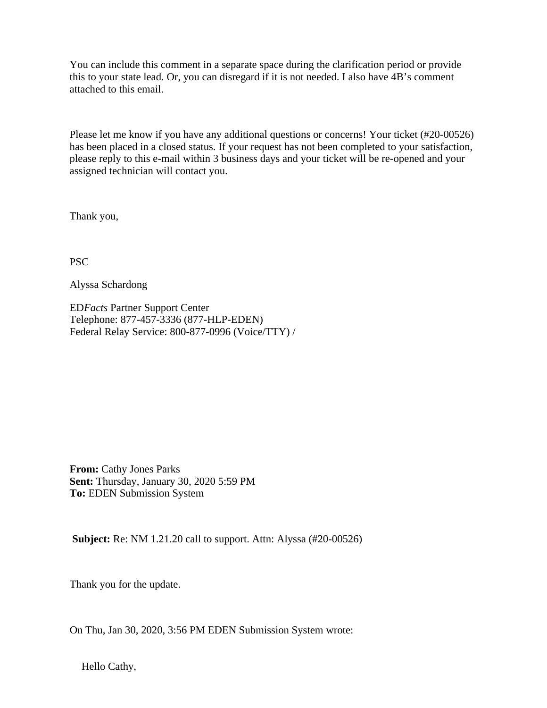You can include this comment in a separate space during the clarification period or provide this to your state lead. Or, you can disregard if it is not needed. I also have 4B's comment attached to this email.

Please let me know if you have any additional questions or concerns! Your ticket (#20-00526) has been placed in a closed status. If your request has not been completed to your satisfaction, please reply to this e-mail within 3 business days and your ticket will be re-opened and your assigned technician will contact you.

Thank you,

PSC

Alyssa Schardong

ED*Facts* Partner Support Center Telephone: 877-457-3336 (877-HLP-EDEN) Federal Relay Service: 800-877-0996 (Voice/TTY) /

**From:** Cathy Jones Parks **Sent:** Thursday, January 30, 2020 5:59 PM **To:** EDEN Submission System

**Subject:** Re: NM 1.21.20 call to support. Attn: Alyssa (#20-00526)

Thank you for the update.

On Thu, Jan 30, 2020, 3:56 PM EDEN Submission System wrote:

Hello Cathy,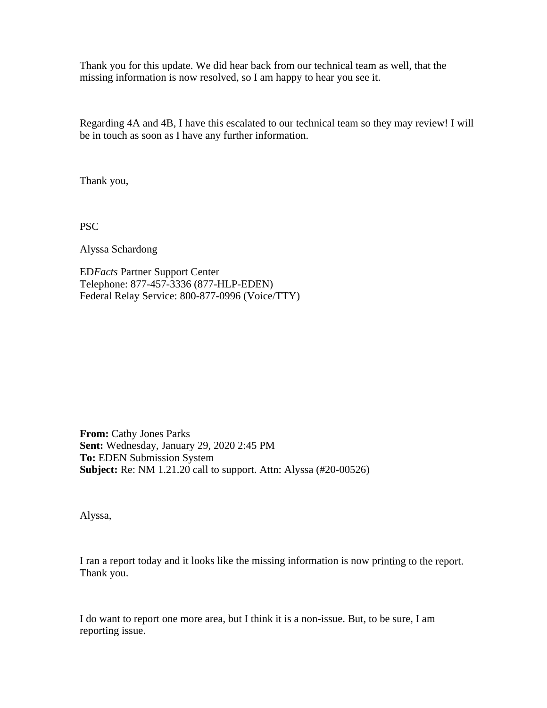Thank you for this update. We did hear back from our technical team as well, that the missing information is now resolved, so I am happy to hear you see it.

Regarding 4A and 4B, I have this escalated to our technical team so they may review! I will be in touch as soon as I have any further information.

Thank you,

PSC

Alyssa Schardong

ED*Facts* Partner Support Center Telephone: 877-457-3336 (877-HLP-EDEN) Federal Relay Service: 800-877-0996 (Voice/TTY)

**From:** Cathy Jones Parks **Sent:** Wednesday, January 29, 2020 2:45 PM **To:** EDEN Submission System **Subject:** Re: NM 1.21.20 call to support. Attn: Alyssa (#20-00526)

Alyssa,

I ran a report today and it looks like the missing information is now printing to the report. Thank you.

I do want to report one more area, but I think it is a non-issue. But, to be sure, I am reporting issue.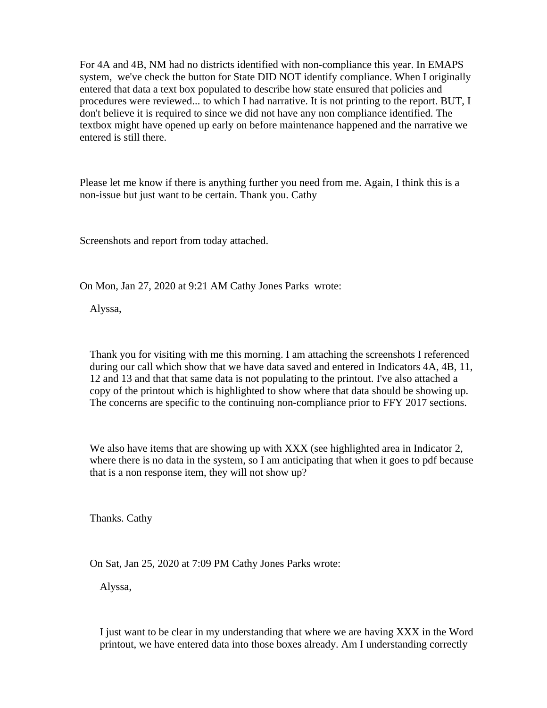For 4A and 4B, NM had no districts identified with non-compliance this year. In EMAPS system, we've check the button for State DID NOT identify compliance. When I originally entered that data a text box populated to describe how state ensured that policies and procedures were reviewed... to which I had narrative. It is not printing to the report. BUT, I don't believe it is required to since we did not have any non compliance identified. The textbox might have opened up early on before maintenance happened and the narrative we entered is still there.

Please let me know if there is anything further you need from me. Again, I think this is a non-issue but just want to be certain. Thank you. Cathy

Screenshots and report from today attached.

On Mon, Jan 27, 2020 at 9:21 AM Cathy Jones Parks wrote:

Alyssa,

Thank you for visiting with me this morning. I am attaching the screenshots I referenced during our call which show that we have data saved and entered in Indicators 4A, 4B, 11, 12 and 13 and that that same data is not populating to the printout. I've also attached a copy of the printout which is highlighted to show where that data should be showing up. The concerns are specific to the continuing non-compliance prior to FFY 2017 sections.

We also have items that are showing up with XXX (see highlighted area in Indicator 2, where there is no data in the system, so I am anticipating that when it goes to pdf because that is a non response item, they will not show up?

Thanks. Cathy

On Sat, Jan 25, 2020 at 7:09 PM Cathy Jones Parks wrote:

Alyssa,

I just want to be clear in my understanding that where we are having XXX in the Word printout, we have entered data into those boxes already. Am I understanding correctly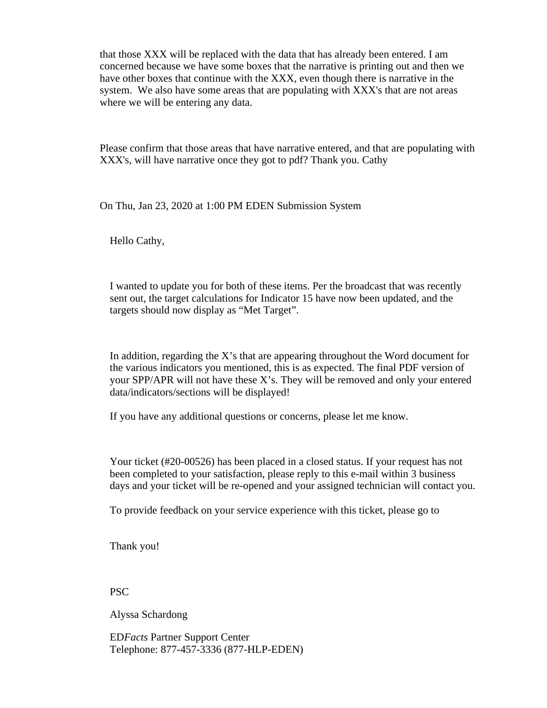that those XXX will be replaced with the data that has already been entered. I am concerned because we have some boxes that the narrative is printing out and then we have other boxes that continue with the XXX, even though there is narrative in the system. We also have some areas that are populating with XXX's that are not areas where we will be entering any data.

Please confirm that those areas that have narrative entered, and that are populating with XXX's, will have narrative once they got to pdf? Thank you. Cathy

On Thu, Jan 23, 2020 at 1:00 PM EDEN Submission System

Hello Cathy,

I wanted to update you for both of these items. Per the broadcast that was recently sent out, the target calculations for Indicator 15 have now been updated, and the targets should now display as "Met Target".

In addition, regarding the X's that are appearing throughout the Word document for the various indicators you mentioned, this is as expected. The final PDF version of your SPP/APR will not have these X's. They will be removed and only your entered data/indicators/sections will be displayed!

If you have any additional questions or concerns, please let me know.

Your ticket (#20-00526) has been placed in a closed status. If your request has not been completed to your satisfaction, please reply to this e-mail within 3 business days and your ticket will be re-opened and your assigned technician will contact you.

To provide feedback on your service experience with this ticket, please go to

Thank you!

PSC

Alyssa Schardong

ED*Facts* Partner Support Center Telephone: 877-457-3336 (877-HLP-EDEN)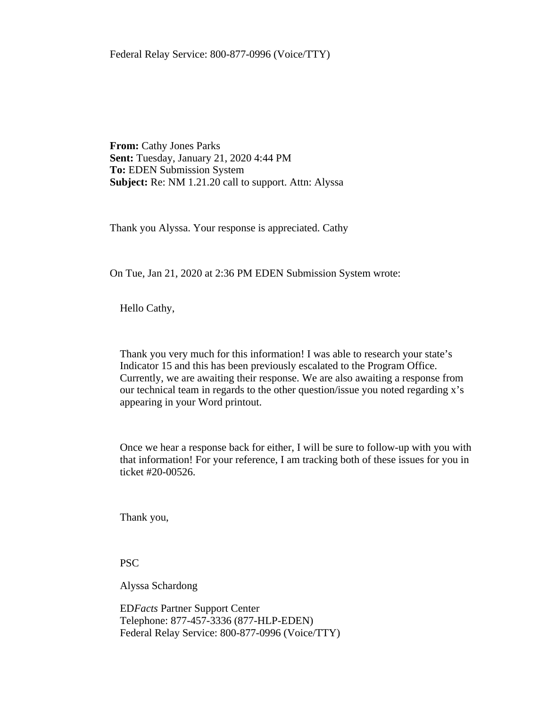Federal Relay Service: 800-877-0996 (Voice/TTY)

**From:** Cathy Jones Parks **Sent:** Tuesday, January 21, 2020 4:44 PM **To:** EDEN Submission System **Subject:** Re: NM 1.21.20 call to support. Attn: Alyssa

Thank you Alyssa. Your response is appreciated. Cathy

On Tue, Jan 21, 2020 at 2:36 PM EDEN Submission System wrote:

Hello Cathy,

Thank you very much for this information! I was able to research your state's Indicator 15 and this has been previously escalated to the Program Office. Currently, we are awaiting their response. We are also awaiting a response from our technical team in regards to the other question/issue you noted regarding x's appearing in your Word printout.

Once we hear a response back for either, I will be sure to follow-up with you with that information! For your reference, I am tracking both of these issues for you in ticket #20-00526.

Thank you,

PSC

Alyssa Schardong

ED*Facts* Partner Support Center Telephone: 877-457-3336 (877-HLP-EDEN) Federal Relay Service: 800-877-0996 (Voice/TTY)